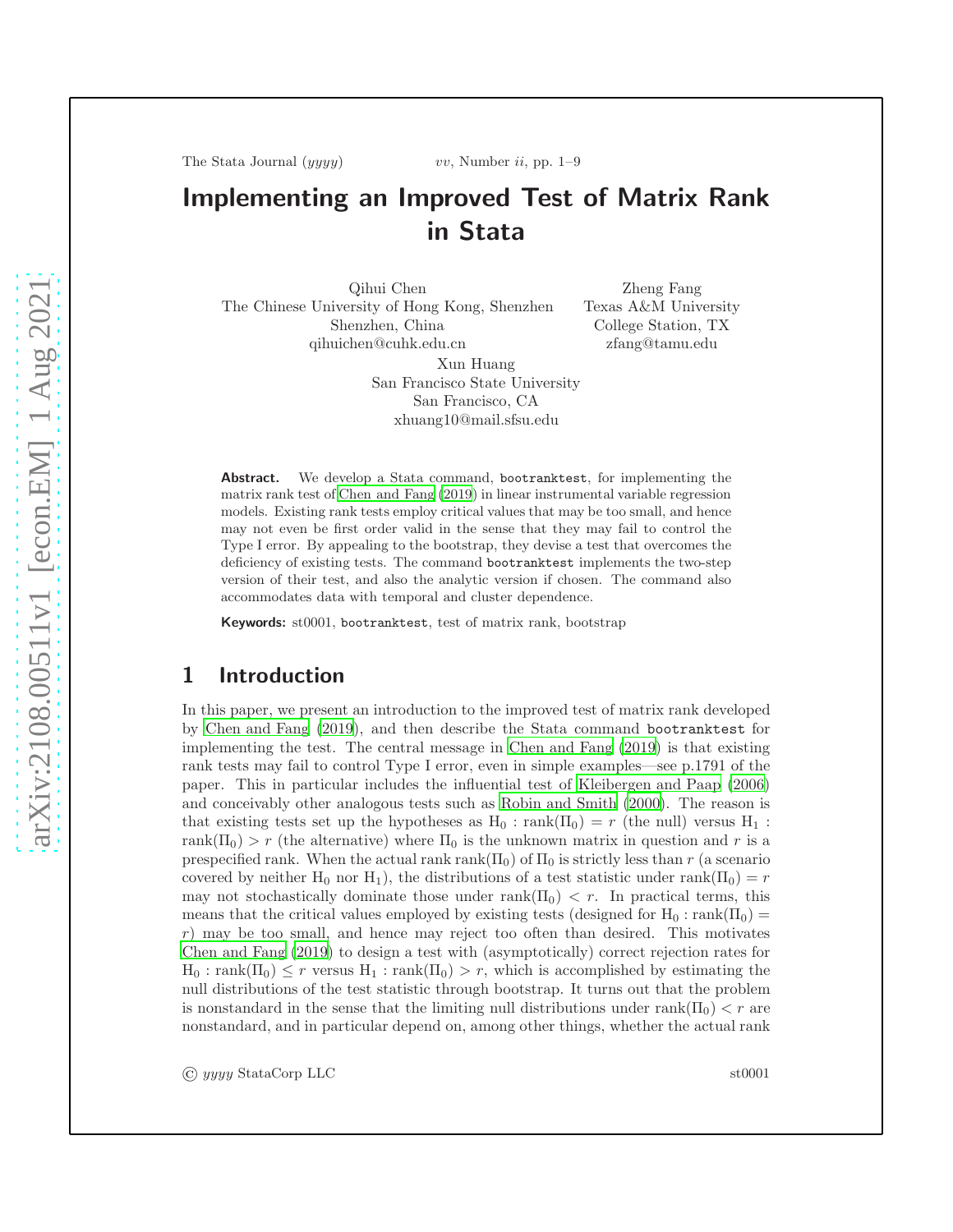The Stata Journal  $(yyyy)$  vv, Number ii, pp. 1–9

# Implementing an Improved Test of Matrix Rank in Stata

Qihui Chen The Chinese University of Hong Kong, Shenzhen Shenzhen, China qihuichen@cuhk.edu.cn Xun Huang San Francisco State University San Francisco, CA

Zheng Fang Texas A&M University College Station, TX zfang@tamu.edu

Abstract. We develop a Stata command, bootranktest, for implementing the matrix rank test of [Chen and Fang \(2019](#page-8-0)) in linear instrumental variable regression models. Existing rank tests employ critical values that may be too small, and hence may not even be first order valid in the sense that they may fail to control the Type I error. By appealing to the bootstrap, they devise a test that overcomes the deficiency of existing tests. The command bootranktest implements the two-step version of their test, and also the analytic version if chosen. The command also accommodates data with temporal and cluster dependence.

xhuang10@mail.sfsu.edu

Keywords: st0001, bootranktest, test of matrix rank, bootstrap

# 1 Introduction

In this paper, we present an introduction to the improved test of matrix rank developed by [Chen and Fang \(2019](#page-8-0)), and then describe the Stata command bootranktest for implementing the test. The central message in [Chen and Fang \(2019](#page-8-0)) is that existing rank tests may fail to control Type I error, even in simple examples—see p.1791 of the paper. This in particular includes the influential test of [Kleibergen and Paap \(2006](#page-8-1)) and conceivably other analogous tests such as [Robin and Smith \(2000](#page-8-2)). The reason is that existing tests set up the hypotheses as  $H_0$ : rank $(\Pi_0) = r$  (the null) versus  $H_1$ : rank( $\Pi_0$ ) > r (the alternative) where  $\Pi_0$  is the unknown matrix in question and r is a prespecified rank. When the actual rank rank( $\Pi_0$ ) of  $\Pi_0$  is strictly less than r (a scenario covered by neither H<sub>0</sub> nor H<sub>1</sub>), the distributions of a test statistic under rank( $\Pi_0$ ) = r may not stochastically dominate those under rank( $\Pi_0$ )  $\lt r$ . In practical terms, this means that the critical values employed by existing tests (designed for  $H_0$  : rank( $\Pi_0$ ) =  $r$ ) may be too small, and hence may reject too often than desired. This motivates [Chen and Fang \(2019\)](#page-8-0) to design a test with (asymptotically) correct rejection rates for  $H_0$ : rank $(\Pi_0) \leq r$  versus  $H_1$ : rank $(\Pi_0) > r$ , which is accomplished by estimating the null distributions of the test statistic through bootstrap. It turns out that the problem is nonstandard in the sense that the limiting null distributions under rank( $\Pi_0$ )  $\lt r$  are nonstandard, and in particular depend on, among other things, whether the actual rank

© yyyy StataCorp LLC st0001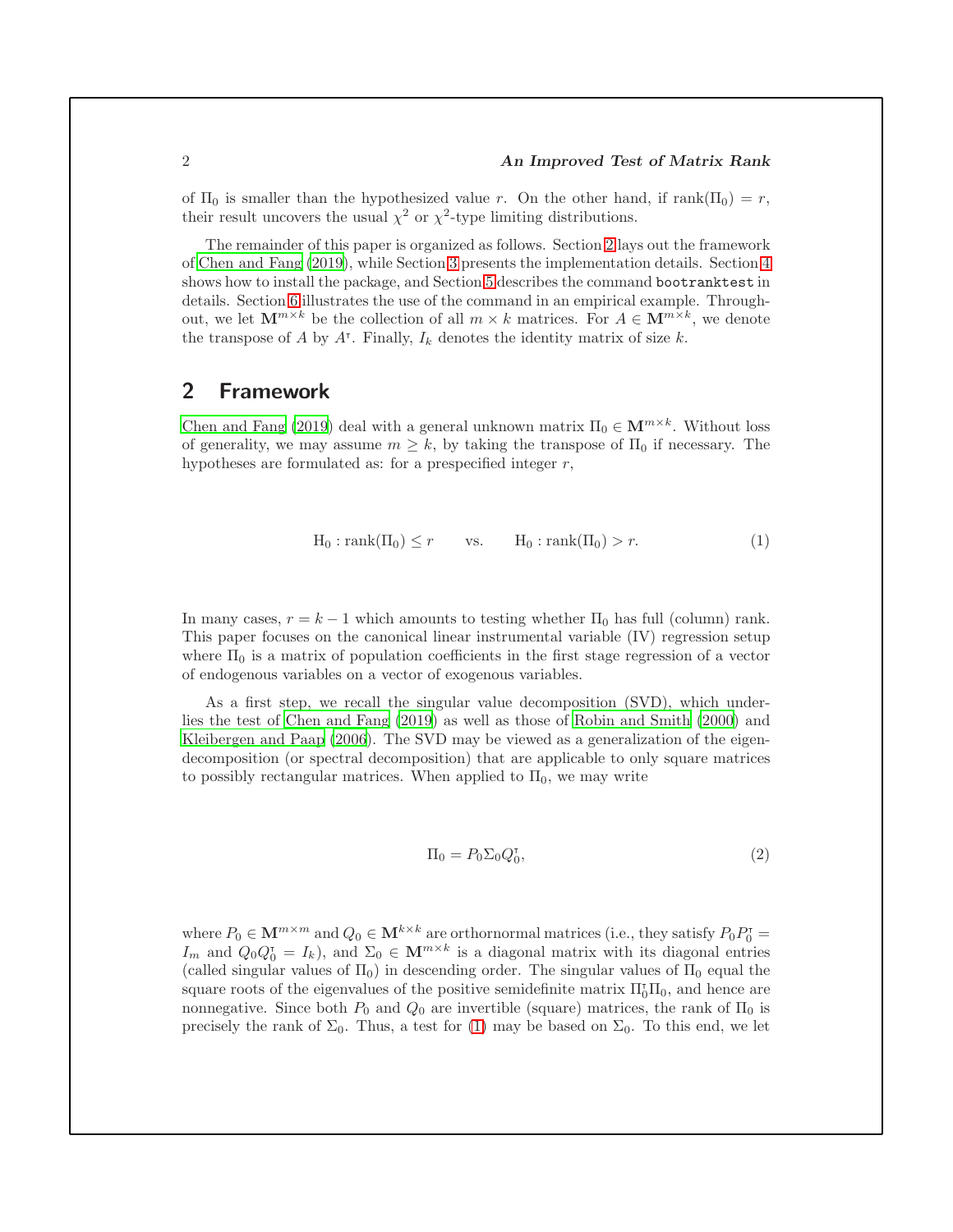#### 2 An Improved Test of Matrix Rank

of  $\Pi_0$  is smaller than the hypothesized value r. On the other hand, if rank( $\Pi_0$ ) = r, their result uncovers the usual  $\chi^2$  or  $\chi^2$ -type limiting distributions.

The remainder of this paper is organized as follows. Section [2](#page-1-0) lays out the framework of [Chen and Fang \(2019\)](#page-8-0), while Section [3](#page-3-0) presents the implementation details. Section [4](#page-5-0) shows how to install the package, and Section [5](#page-5-1) describes the command bootranktest in details. Section [6](#page-6-0) illustrates the use of the command in an empirical example. Throughout, we let  $\mathbf{M}^{m \times k}$  be the collection of all  $m \times k$  matrices. For  $A \in \mathbf{M}^{m \times k}$ , we denote the transpose of A by  $A^{\dagger}$ . Finally,  $I_k$  denotes the identity matrix of size k.

## <span id="page-1-0"></span>2 Framework

[Chen and Fang \(2019\)](#page-8-0) deal with a general unknown matrix  $\Pi_0 \in \mathbf{M}^{m \times k}$ . Without loss of generality, we may assume  $m \geq k$ , by taking the transpose of  $\Pi_0$  if necessary. The hypotheses are formulated as: for a prespecified integer  $r$ ,

<span id="page-1-1"></span>
$$
H_0: rank(\Pi_0) \le r \qquad vs. \qquad H_0: rank(\Pi_0) > r. \tag{1}
$$

In many cases,  $r = k - 1$  which amounts to testing whether  $\Pi_0$  has full (column) rank. This paper focuses on the canonical linear instrumental variable (IV) regression setup where  $\Pi_0$  is a matrix of population coefficients in the first stage regression of a vector of endogenous variables on a vector of exogenous variables.

As a first step, we recall the singular value decomposition (SVD), which underlies the test of [Chen and Fang \(2019\)](#page-8-0) as well as those of [Robin and Smith \(2000\)](#page-8-2) and [Kleibergen and Paap \(2006\)](#page-8-1). The SVD may be viewed as a generalization of the eigendecomposition (or spectral decomposition) that are applicable to only square matrices to possibly rectangular matrices. When applied to  $\Pi_0$ , we may write

<span id="page-1-2"></span>
$$
\Pi_0 = P_0 \Sigma_0 Q_0^{\dagger},\tag{2}
$$

where  $P_0 \in \mathbf{M}^{m \times m}$  and  $Q_0 \in \mathbf{M}^{k \times k}$  are orthornormal matrices (i.e., they satisfy  $P_0 P_0^{\dagger} =$ I<sub>m</sub> and  $Q_0Q_0^T = I_k$ , and  $\Sigma_0 \in \mathbf{M}^{m \times k}$  is a diagonal matrix with its diagonal entries (called singular values of  $\Pi_0$ ) in descending order. The singular values of  $\Pi_0$  equal the square roots of the eigenvalues of the positive semidefinite matrix  $\Pi_0^{\dagger} \Pi_0$ , and hence are nonnegative. Since both  $P_0$  and  $Q_0$  are invertible (square) matrices, the rank of  $\Pi_0$  is precisely the rank of  $\Sigma_0$ . Thus, a test for [\(1\)](#page-1-1) may be based on  $\Sigma_0$ . To this end, we let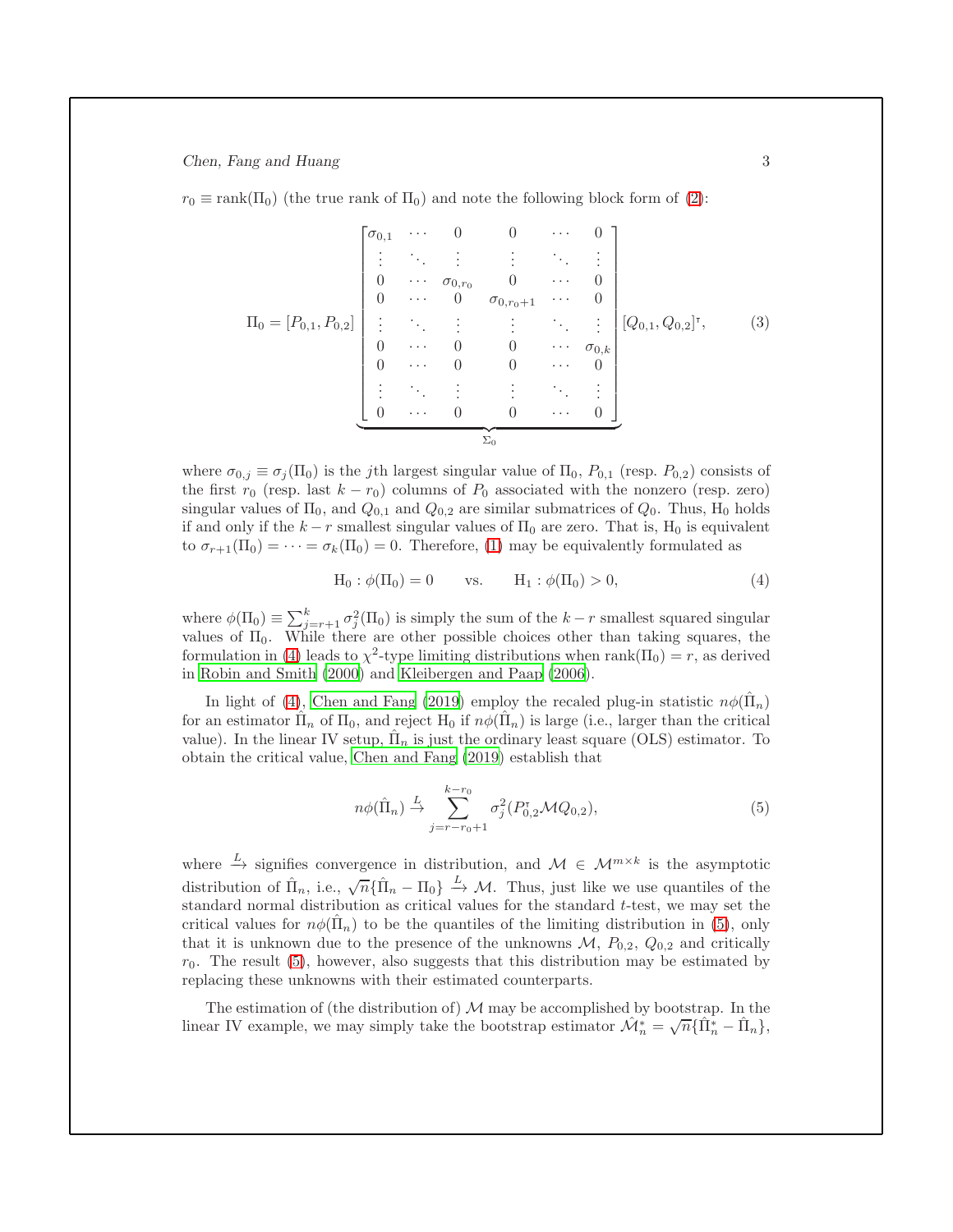$r_0 \equiv \text{rank}(\Pi_0)$  (the true rank of  $\Pi_0$ ) and note the following block form of [\(2\)](#page-1-2):

$$
\Pi_0 = [P_{0,1}, P_{0,2}] \begin{bmatrix} \sigma_{0,1} & \cdots & 0 & 0 & \cdots & 0 \\ \vdots & \ddots & \vdots & \vdots & \ddots & \vdots \\ 0 & \cdots & \sigma_{0,r_0} & 0 & \cdots & 0 \\ 0 & \cdots & 0 & \sigma_{0,r_0+1} & \cdots & 0 \\ \vdots & \ddots & \vdots & \vdots & \ddots & \vdots \\ 0 & \cdots & 0 & 0 & \cdots & \sigma_{0,k} \\ 0 & \cdots & 0 & 0 & \cdots & 0 \\ \vdots & \ddots & \vdots & \vdots & \ddots & \vdots \\ 0 & \cdots & 0 & 0 & \cdots & 0 \end{bmatrix} [Q_{0,1}, Q_{0,2}]^{\mathsf{T}}, \qquad (3)
$$

where  $\sigma_{0,i} \equiv \sigma_i(\Pi_0)$  is the *j*th largest singular value of  $\Pi_0$ ,  $P_{0,1}$  (resp.  $P_{0,2}$ ) consists of the first  $r_0$  (resp. last  $k - r_0$ ) columns of  $P_0$  associated with the nonzero (resp. zero) singular values of  $\Pi_0$ , and  $Q_{0,1}$  and  $Q_{0,2}$  are similar submatrices of  $Q_0$ . Thus,  $H_0$  holds if and only if the  $k - r$  smallest singular values of  $\Pi_0$  are zero. That is,  $H_0$  is equivalent to  $\sigma_{r+1}(\Pi_0) = \cdots = \sigma_k(\Pi_0) = 0$ . Therefore, [\(1\)](#page-1-1) may be equivalently formulated as

$$
H_0: \phi(\Pi_0) = 0
$$
 vs.  $H_1: \phi(\Pi_0) > 0,$  (4)

where  $\phi(\Pi_0) \equiv \sum_{j=r+1}^k \sigma_j^2(\Pi_0)$  is simply the sum of the  $k-r$  smallest squared singular values of  $\Pi_0$ . While there are other possible choices other than taking squares, the formulation in [\(4\)](#page-2-0) leads to  $\chi^2$ -type limiting distributions when rank( $\Pi_0$ ) = r, as derived in [Robin and Smith \(2000\)](#page-8-2) and [Kleibergen and Paap \(2006\)](#page-8-1).

In light of [\(4\)](#page-2-0), [Chen and Fang \(2019\)](#page-8-0) employ the recaled plug-in statistic  $n\phi(\hat{\Pi}_n)$ for an estimator  $\hat{\Pi}_n$  of  $\Pi_0$ , and reject  $H_0$  if  $n\phi(\hat{\Pi}_n)$  is large (i.e., larger than the critical value). In the linear IV setup,  $\hat{\Pi}_n$  is just the ordinary least square (OLS) estimator. To obtain the critical value, [Chen and Fang \(2019\)](#page-8-0) establish that

<span id="page-2-1"></span>
$$
n\phi(\hat{\Pi}_n) \stackrel{L}{\to} \sum_{j=r-r_0+1}^{k-r_0} \sigma_j^2(P_{0,2}^{\tau} \mathcal{M} Q_{0,2}),\tag{5}
$$

where  $\stackrel{L}{\to}$  signifies convergence in distribution, and  $\mathcal{M} \in \mathcal{M}^{m \times k}$  is the asymptotic distribution of  $\hat{\Pi}_n$ , i.e.,  $\sqrt{n} \{\hat{\Pi}_n - \Pi_0\} \stackrel{L}{\rightarrow} \mathcal{M}$ . Thus, just like we use quantiles of the standard normal distribution as critical values for the standard t-test, we may set the critical values for  $n\phi(\hat{\Pi}_n)$  to be the quantiles of the limiting distribution in [\(5\)](#page-2-1), only that it is unknown due to the presence of the unknowns  $\mathcal{M}, P_{0,2}, Q_{0,2}$  and critically  $r_0$ . The result [\(5\)](#page-2-1), however, also suggests that this distribution may be estimated by replacing these unknowns with their estimated counterparts.

The estimation of (the distribution of)  $\mathcal M$  may be accomplished by bootstrap. In the linear IV example, we may simply take the bootstrap estimator  $\mathcal{M}_n^* = \sqrt{n} \{\hat{\Pi}_n^* - \hat{\Pi}_n\},\$ 

<span id="page-2-0"></span>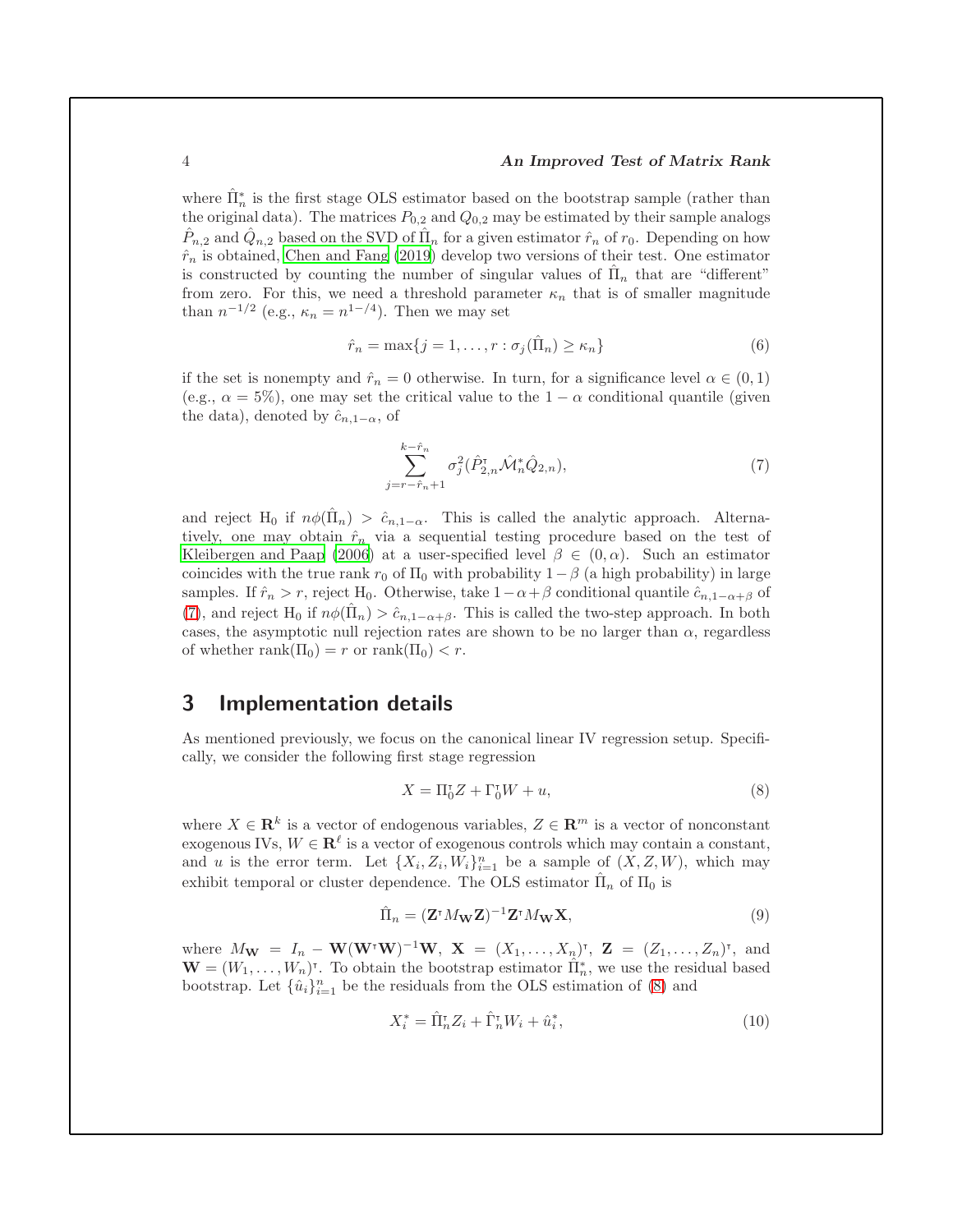#### 4 An Improved Test of Matrix Rank

where  $\hat{\Pi}_n^*$  is the first stage OLS estimator based on the bootstrap sample (rather than the original data). The matrices  $P_{0,2}$  and  $Q_{0,2}$  may be estimated by their sample analogs  $\hat{P}_{n,2}$  and  $\hat{Q}_{n,2}$  based on the SVD of  $\hat{\Pi}_n$  for a given estimator  $\hat{r}_n$  of  $r_0$ . Depending on how  $\hat{r}_n$  is obtained, [Chen and Fang \(2019\)](#page-8-0) develop two versions of their test. One estimator is constructed by counting the number of singular values of  $\hat{\Pi}_n$  that are "different" from zero. For this, we need a threshold parameter  $\kappa_n$  that is of smaller magnitude than  $n^{-1/2}$  (e.g.,  $\kappa_n = n^{1-\frac{4}{3}}$ ). Then we may set

$$
\hat{r}_n = \max\{j = 1, \dots, r : \sigma_j(\hat{\Pi}_n) \ge \kappa_n\}
$$
\n(6)

if the set is nonempty and  $\hat{r}_n = 0$  otherwise. In turn, for a significance level  $\alpha \in (0,1)$ (e.g.,  $\alpha = 5\%$ ), one may set the critical value to the  $1 - \alpha$  conditional quantile (given the data), denoted by  $\hat{c}_{n,1-\alpha}$ , of

<span id="page-3-5"></span><span id="page-3-1"></span>
$$
\sum_{j=r-\hat{r}_n+1}^{k-\hat{r}_n} \sigma_j^2(\hat{P}_{2,n}^{\mathsf{T}}\hat{\mathcal{M}}_n^*\hat{Q}_{2,n}),\tag{7}
$$

and reject H<sub>0</sub> if  $n\phi(\hat{\Pi}_n) > \hat{c}_{n,1-\alpha}$ . This is called the analytic approach. Alternatively, one may obtain  $\hat{r}_n$  via a sequential testing procedure based on the test of [Kleibergen and Paap \(2006\)](#page-8-1) at a user-specified level  $\beta \in (0, \alpha)$ . Such an estimator coincides with the true rank  $r_0$  of  $\Pi_0$  with probability  $1-\beta$  (a high probability) in large samples. If  $\hat{r}_n > r$ , reject H<sub>0</sub>. Otherwise, take  $1-\alpha+\beta$  conditional quantile  $\hat{c}_{n,1-\alpha+\beta}$  of [\(7\)](#page-3-1), and reject H<sub>0</sub> if  $n\phi(\hat{\Pi}_n) > \hat{c}_{n,1-\alpha+\beta}$ . This is called the two-step approach. In both cases, the asymptotic null rejection rates are shown to be no larger than  $\alpha$ , regardless of whether rank $(\Pi_0) = r$  or rank $(\Pi_0) < r$ .

## <span id="page-3-0"></span>3 Implementation details

As mentioned previously, we focus on the canonical linear IV regression setup. Specifically, we consider the following first stage regression

<span id="page-3-3"></span><span id="page-3-2"></span>
$$
X = \Pi_0^{\mathsf{T}} Z + \Gamma_0^{\mathsf{T}} W + u,\tag{8}
$$

where  $X \in \mathbf{R}^k$  is a vector of endogenous variables,  $Z \in \mathbf{R}^m$  is a vector of nonconstant exogenous IVs,  $W \in \mathbb{R}^{\ell}$  is a vector of exogenous controls which may contain a constant, and u is the error term. Let  $\{X_i, Z_i, W_i\}_{i=1}^n$  be a sample of  $(X, Z, W)$ , which may exhibit temporal or cluster dependence. The OLS estimator  $\hat{\Pi}_n$  of  $\Pi_0$  is

$$
\hat{\Pi}_n = (\mathbf{Z}^\dagger M_{\mathbf{W}} \mathbf{Z})^{-1} \mathbf{Z}^\dagger M_{\mathbf{W}} \mathbf{X},\tag{9}
$$

where  $M_{\mathbf{W}} = I_n - \mathbf{W}(\mathbf{W}^{\dagger}\mathbf{W})^{-1}\mathbf{W}, \mathbf{X} = (X_1, \ldots, X_n)^{\dagger}, \mathbf{Z} = (Z_1, \ldots, Z_n)^{\dagger}, \text{ and}$  $\mathbf{W} = (W_1, \ldots, W_n)^{\dagger}$ . To obtain the bootstrap estimator  $\hat{\Pi}_n^*$ , we use the residual based bootstrap. Let  $\{\hat{u}_i\}_{i=1}^n$  be the residuals from the OLS estimation of [\(8\)](#page-3-2) and

<span id="page-3-4"></span>
$$
X_i^* = \hat{\Pi}_n^{\tau} Z_i + \hat{\Gamma}_n^{\tau} W_i + \hat{u}_i^*,\tag{10}
$$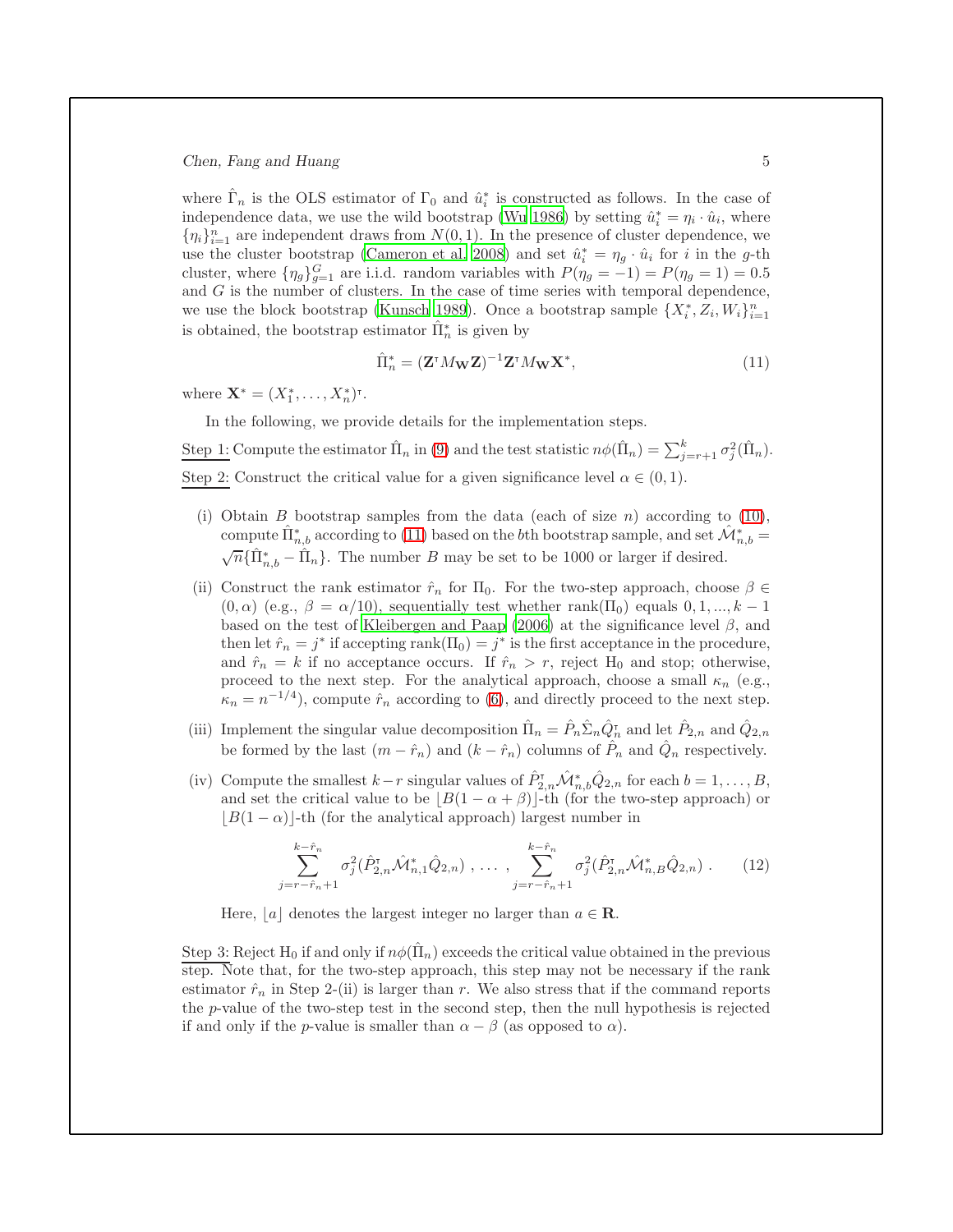where  $\hat{\Gamma}_n$  is the OLS estimator of  $\Gamma_0$  and  $\hat{u}_i^*$  is constructed as follows. In the case of independence data, we use the wild bootstrap [\(Wu 1986](#page-8-3)) by setting  $\hat{u}_i^* = \eta_i \cdot \hat{u}_i$ , where  $\{\eta_i\}_{i=1}^n$  are independent draws from  $N(0, 1)$ . In the presence of cluster dependence, we use the cluster bootstrap [\(Cameron et al. 2008\)](#page-8-4) and set  $\hat{u}_i^* = \eta_g \cdot \hat{u}_i$  for i in the g-th cluster, where  $\{\eta_g\}_{g=1}^G$  are i.i.d. random variables with  $P(\eta_g = -1) = P(\eta_g = 1) = 0.5$ and G is the number of clusters. In the case of time series with temporal dependence, we use the block bootstrap [\(Kunsch 1989\)](#page-8-5). Once a bootstrap sample  $\{X_i^*, Z_i, W_i\}_{i=1}^n$ is obtained, the bootstrap estimator  $\hat{\Pi}_n^*$  is given by

<span id="page-4-0"></span>
$$
\hat{\Pi}_n^* = (\mathbf{Z}^\intercal M_{\mathbf{W}} \mathbf{Z})^{-1} \mathbf{Z}^\intercal M_{\mathbf{W}} \mathbf{X}^*,\tag{11}
$$

where  $\mathbf{X}^* = (X_1^*, \dots, X_n^*)^{\dagger}$ .

In the following, we provide details for the implementation steps.

Step 1: Compute the estimator  $\hat{\Pi}_n$  in [\(9\)](#page-3-3) and the test statistic  $n\phi(\hat{\Pi}_n) = \sum_{j=r+1}^k \sigma_j^2(\hat{\Pi}_n)$ . Step 2: Construct the critical value for a given significance level  $\alpha \in (0,1)$ .

- (i) Obtain B bootstrap samples from the data (each of size n) according to [\(10\)](#page-3-4), compute  $\hat{\Pi}_{n,b}^*$  according to [\(11\)](#page-4-0) based on the bth bootstrap sample, and set  $\hat{\mathcal{M}}_{n,b}^* =$  $\sqrt{n}$ { $\hat{\Pi}_{n,b}^* - \hat{\Pi}_n$ }. The number B may be set to be 1000 or larger if desired.
- (ii) Construct the rank estimator  $\hat{r}_n$  for  $\Pi_0$ . For the two-step approach, choose  $\beta \in$  $(0, \alpha)$  (e.g.,  $\beta = \alpha/10$ ), sequentially test whether rank( $\Pi_0$ ) equals  $0, 1, ..., k - 1$ based on the test of [Kleibergen and Paap \(2006\)](#page-8-1) at the significance level  $\beta$ , and then let  $\hat{r}_n = j^*$  if accepting rank $(\Pi_0) = j^*$  is the first acceptance in the procedure, and  $\hat{r}_n = k$  if no acceptance occurs. If  $\hat{r}_n > r$ , reject H<sub>0</sub> and stop; otherwise, proceed to the next step. For the analytical approach, choose a small  $\kappa_n$  (e.g.,  $\tilde{\kappa}_n = n^{-1/4}$ , compute  $\hat{r}_n$  according to [\(6\)](#page-3-5), and directly proceed to the next step.
- (iii) Implement the singular value decomposition  $\hat{\Pi}_n = \hat{P}_n \hat{\Sigma}_n \hat{Q}_n^{\dagger}$  and let  $\hat{P}_{2,n}$  and  $\hat{Q}_{2,n}$ be formed by the last  $(m - \hat{r}_n)$  and  $(k - \hat{r}_n)$  columns of  $\hat{P}_n$  and  $\hat{Q}_n$  respectively.
- (iv) Compute the smallest  $k-r$  singular values of  $\hat{P}_{2,n}^{\tau} \hat{\mathcal{M}}_{n,b}^* \hat{Q}_{2,n}$  for each  $b=1,\ldots,B$ , and set the critical value to be  $|B(1 - \alpha + \beta)|$ -th (for the two-step approach) or  $|B(1 - \alpha)|$ -th (for the analytical approach) largest number in

$$
\sum_{j=r-\hat{r}_n+1}^{k-\hat{r}_n} \sigma_j^2(\hat{P}_{2,n}^{\tau}\hat{\mathcal{M}}_{n,1}^*\hat{Q}_{2,n}) , \dots , \sum_{j=r-\hat{r}_n+1}^{k-\hat{r}_n} \sigma_j^2(\hat{P}_{2,n}^{\tau}\hat{\mathcal{M}}_{n,B}^*\hat{Q}_{2,n}) . \qquad (12)
$$

Here, |a| denotes the largest integer no larger than  $a \in \mathbb{R}$ .

Step 3: Reject H<sub>0</sub> if and only if  $n\phi(\hat{\Pi}_n)$  exceeds the critical value obtained in the previous step. Note that, for the two-step approach, this step may not be necessary if the rank estimator  $\hat{r}_n$  in Step 2-(ii) is larger than r. We also stress that if the command reports the p-value of the two-step test in the second step, then the null hypothesis is rejected if and only if the *p*-value is smaller than  $\alpha - \beta$  (as opposed to  $\alpha$ ).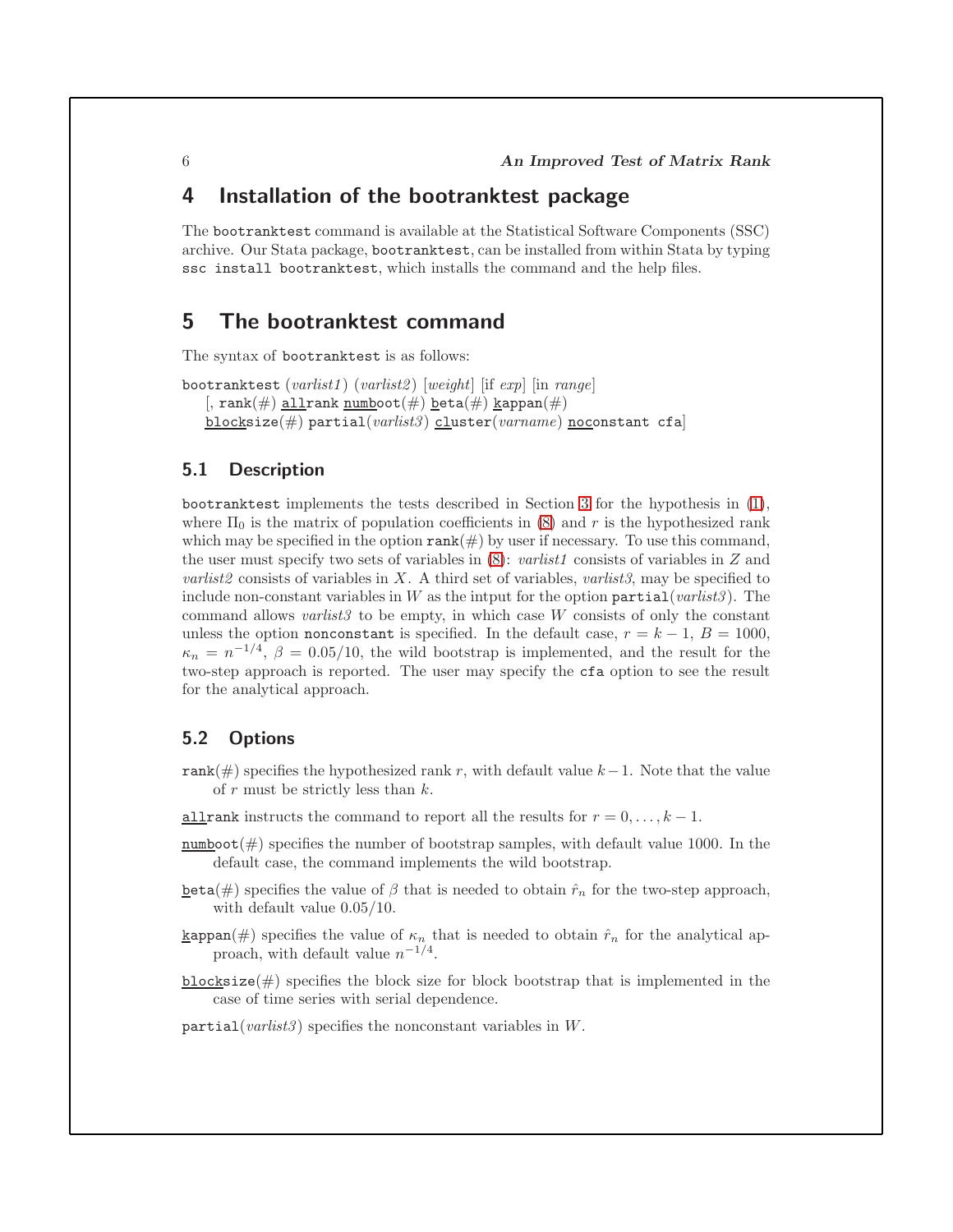# <span id="page-5-0"></span>4 Installation of the bootranktest package

The bootranktest command is available at the Statistical Software Components (SSC) archive. Our Stata package, bootranktest, can be installed from within Stata by typing ssc install bootranktest, which installs the command and the help files.

# <span id="page-5-1"></span>5 The bootranktest command

The syntax of bootranktest is as follows:

```
bootranktest (varlist1) (varlist2) [weight] [if exp] [inn range][, rank(\#) allrank numboot(\#) beta(\#) kappan(\#)blocksize(#) partial(varlist3) cluster(varname) noconstant cfa
```
#### 5.1 Description

bootranktest implements the tests described in Section [3](#page-3-0) for the hypothesis in [\(1\)](#page-1-1), where  $\Pi_0$  is the matrix of population coefficients in [\(8\)](#page-3-2) and r is the hypothesized rank which may be specified in the option  $\text{rank}(\#)$  by user if necessary. To use this command, the user must specify two sets of variables in  $(8)$ : varlist1 consists of variables in Z and *varlist2* consists of variables in X. A third set of variables, *varlist3*, may be specified to include non-constant variables in W as the intput for the option  $partial(varlist3)$ . The command allows *varlist3* to be empty, in which case  $W$  consists of only the constant unless the option nonconstant is specified. In the default case,  $r = k - 1$ ,  $B = 1000$ ,  $\kappa_n = n^{-1/4}$ ,  $\beta = 0.05/10$ , the wild bootstrap is implemented, and the result for the two-step approach is reported. The user may specify the cfa option to see the result for the analytical approach.

#### 5.2 Options

- rank(#) specifies the hypothesized rank r, with default value  $k-1$ . Note that the value of  $r$  must be strictly less than  $k$ .
- <u>all</u>rank instructs the command to report all the results for  $r = 0, \ldots, k 1$ .
- $\frac{\text{number of}}{\text{number of}}$  specifies the number of bootstrap samples, with default value 1000. In the default case, the command implements the wild bootstrap.
- **beta**(#) specifies the value of  $\beta$  that is needed to obtain  $\hat{r}_n$  for the two-step approach, with default value 0.05/10.
- **k**appan(#) specifies the value of  $\kappa_n$  that is needed to obtain  $\hat{r}_n$  for the analytical approach, with default value  $n^{-1/4}$ .
- blocksize( $#$ ) specifies the block size for block bootstrap that is implemented in the case of time series with serial dependence.

 $partial(varlist3)$  specifies the nonconstant variables in W.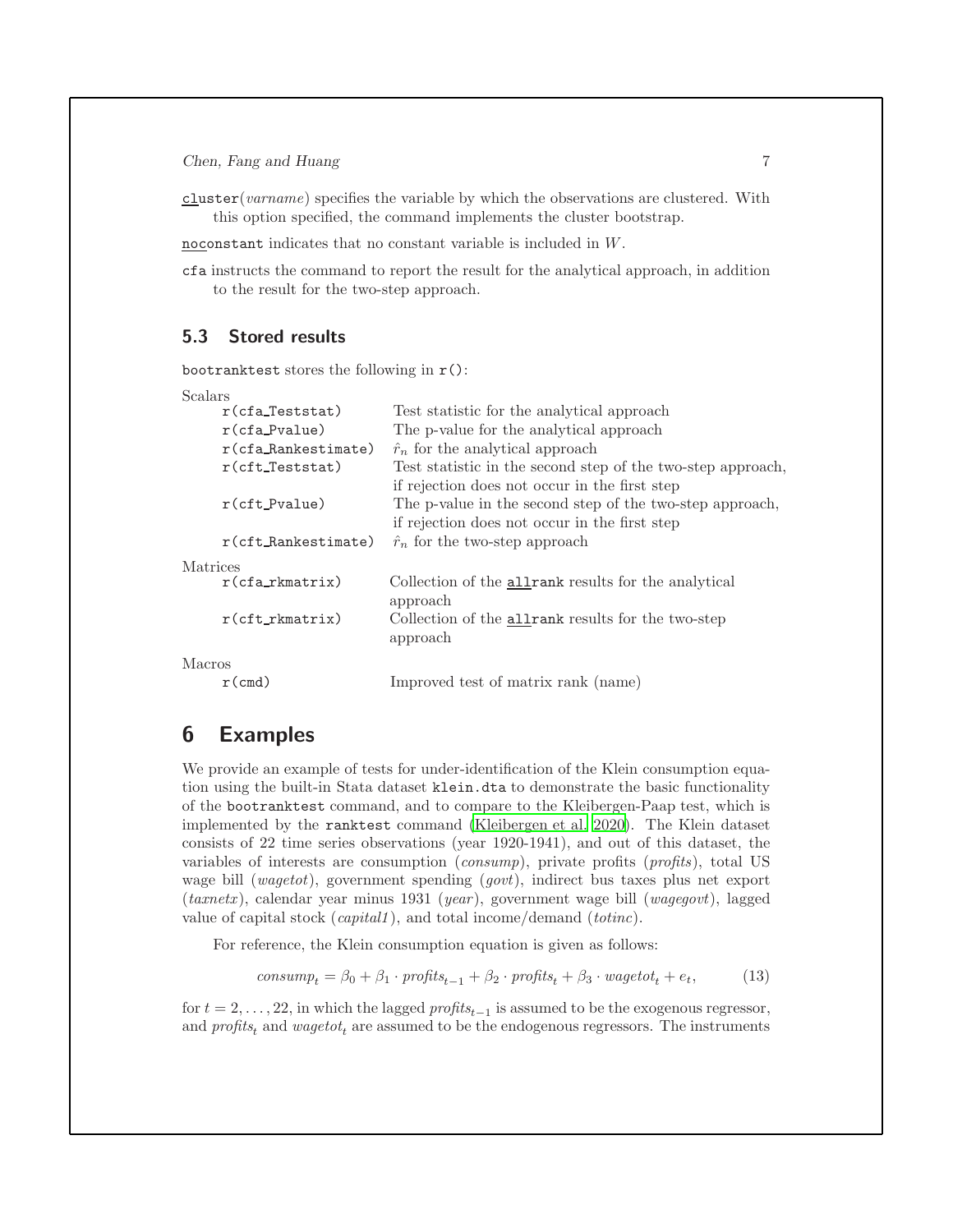cluster(varname) specifies the variable by which the observations are clustered. With this option specified, the command implements the cluster bootstrap.

noconstant indicates that no constant variable is included in W.

cfa instructs the command to report the result for the analytical approach, in addition to the result for the two-step approach.

#### 5.3 Stored results

bootranktest stores the following in r():

```
Scalars
```

|          | $r(cfa_T)$             | Test statistic for the analytical approach                  |
|----------|------------------------|-------------------------------------------------------------|
|          | $r$ (cfa_Pvalue)       | The p-value for the analytical approach                     |
|          | $r$ (cfa_Rankestimate) | $\hat{r}_n$ for the analytical approach                     |
|          | $r$ (cft_Teststat)     | Test statistic in the second step of the two-step approach, |
|          |                        | if rejection does not occur in the first step               |
|          | $r$ (cft_Pvalue)       | The p-value in the second step of the two-step approach,    |
|          |                        | if rejection does not occur in the first step               |
|          | $r$ (cft_Rankestimate) | $\hat{r}_n$ for the two-step approach                       |
| Matrices |                        |                                                             |
|          | $r(cfa_rkmatrix)$      | Collection of the <b>allrank</b> results for the analytical |
|          |                        | approach                                                    |
|          | $r(cft_rkmatrix)$      | Collection of the <b>allrank</b> results for the two-step   |
|          |                        | approach                                                    |
| Macros   |                        |                                                             |
|          | $r$ (cmd)              | Improved test of matrix rank (name)                         |

# <span id="page-6-0"></span>6 Examples

We provide an example of tests for under-identification of the Klein consumption equation using the built-in Stata dataset klein.dta to demonstrate the basic functionality of the bootranktest command, and to compare to the Kleibergen-Paap test, which is implemented by the ranktest command [\(Kleibergen et al. 2020\)](#page-8-6). The Klein dataset consists of 22 time series observations (year 1920-1941), and out of this dataset, the variables of interests are consumption (consump), private profits (profits), total US wage bill (wagetot), government spending (govt), indirect bus taxes plus net export  $(tanet x)$ , calendar year minus 1931 (year), government wage bill (wagegovt), lagged value of capital stock (capital1), and total income/demand (totinc).

For reference, the Klein consumption equation is given as follows:

$$
consump_t = \beta_0 + \beta_1 \cdot profits_{t-1} + \beta_2 \cdot profits_t + \beta_3 \cdot wage tot_t + e_t,
$$
\n(13)

for  $t = 2, \ldots, 22$ , in which the lagged  $\text{profits}_{t-1}$  is assumed to be the exogenous regressor, and  $profit_{t}$  and  $wagetot_{t}$  are assumed to be the endogenous regressors. The instruments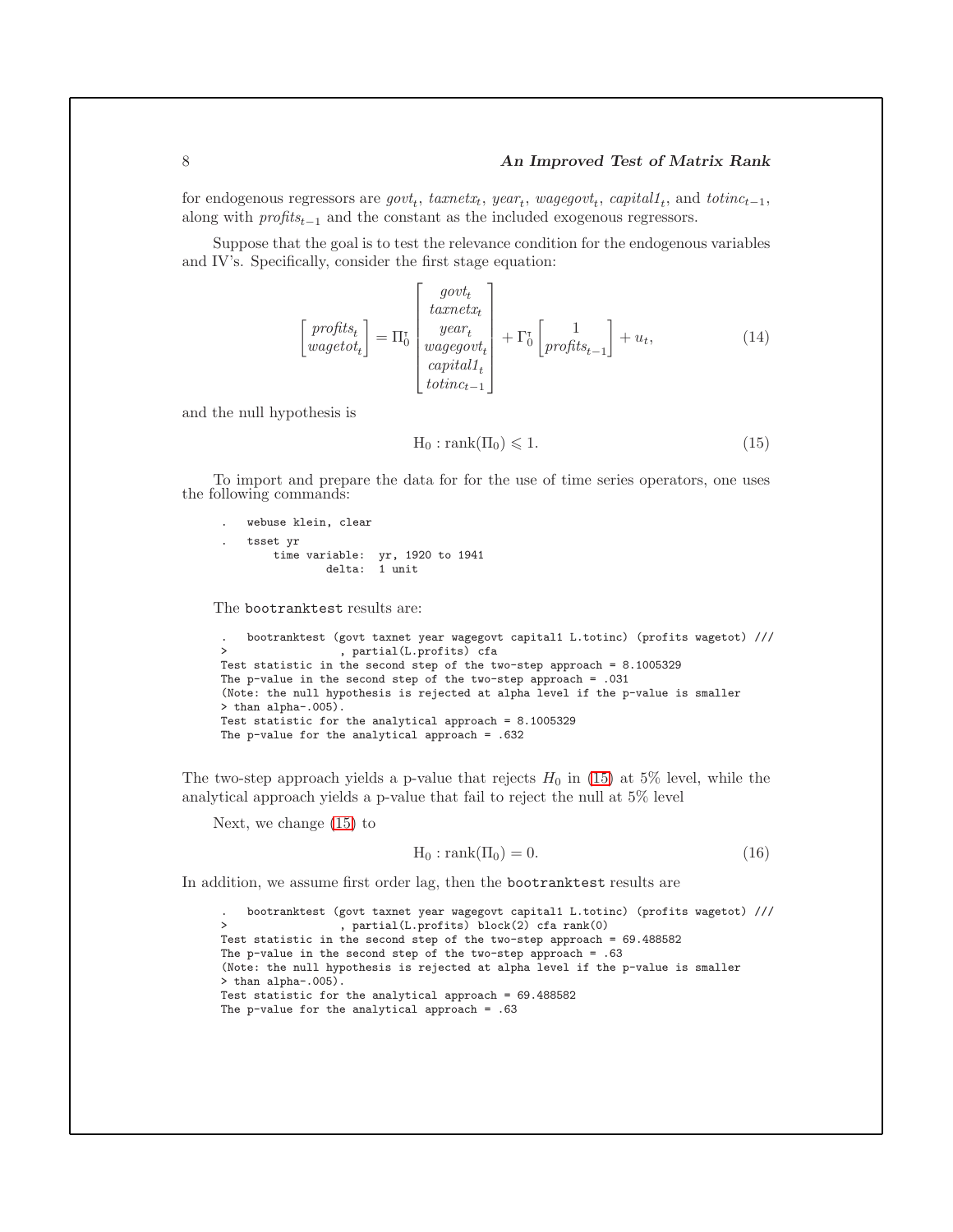#### 8 **An Improved Test of Matrix Rank**

for endogenous regressors are  $govt_t$ ,  $taxnetx_t$ ,  $year_t$ ,  $wagegovt_t$ ,  $capitalt_t$ , and  $totinc_{t-1}$ , along with  $\text{profits}_{t-1}$  and the constant as the included exogenous regressors.

Suppose that the goal is to test the relevance condition for the endogenous variables and IV's. Specifically, consider the first stage equation:

$$
\begin{bmatrix}\n\text{profits}_{t} \\
\text{wagetot}_{t}\n\end{bmatrix} = \Pi_{0}^{\text{target}} \begin{bmatrix}\n\text{growth} \\
\text{year}_{t} \\
\text{wagegovt}_{t} \\
\text{capital1}_{t} \\
\text{totinc}_{t-1}\n\end{bmatrix} + \Gamma_{0}^{\text{t}} \begin{bmatrix}\n1 \\
\text{profitsl}_{t-1}\n\end{bmatrix} + u_{t},\n\tag{14}
$$

and the null hypothesis is

<span id="page-7-0"></span>
$$
H_0: rank(\Pi_0) \leq 1.
$$
\n<sup>(15)</sup>

To import and prepare the data for for the use of time series operators, one uses the following commands:

```
. webuse klein, clear
. tsset yr
    time variable: yr, 1920 to 1941
            delta: 1 unit
```
The bootranktest results are:

```
. bootranktest (govt taxnet year wagegovt capital1 L.totinc) (profits wagetot) ///
                 > , partial(L.profits) cfa
Test statistic in the second step of the two-step approach = 8.1005329
The p-value in the second step of the two-step approach = .031
(Note: the null hypothesis is rejected at alpha level if the p-value is smaller
> than alpha-.005).
Test statistic for the analytical approach = 8.1005329
The p-value for the analytical approach = .632
```
The two-step approach yields a p-value that rejects  $H_0$  in [\(15\)](#page-7-0) at 5% level, while the analytical approach yields a p-value that fail to reject the null at 5% level

Next, we change [\(15\)](#page-7-0) to

<span id="page-7-1"></span>
$$
H_0: rank(\Pi_0) = 0.
$$
\n<sup>(16)</sup>

In addition, we assume first order lag, then the bootranktest results are

```
. bootranktest (govt taxnet year wagegovt capital1 L.totinc) (profits wagetot) ///
                  > , partial(L.profits) block(2) cfa rank(0)
Test statistic in the second step of the two-step approach = 69.488582
The p-value in the second step of the two-step approach = .63(Note: the null hypothesis is rejected at alpha level if the p-value is smaller
> than alpha-.005).
Test statistic for the analytical approach = 69.488582
The p-value for the analytical approach = .63
```